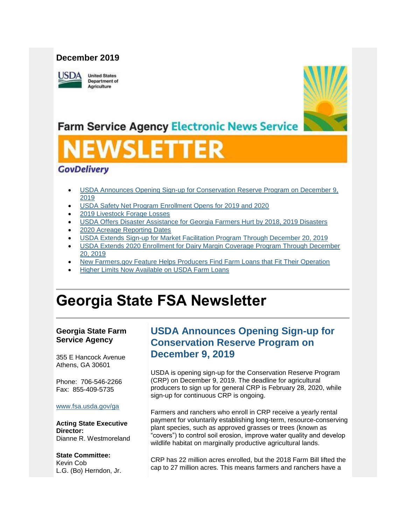## **December 2019**

**USDA** 

**United States** Department of Agriculture



## **Farm Service Agency Electronic News Service**

# VSLETT

## **GovDelivery**

- [USDA Announces Opening Sign-up for Conservation Reserve Program on December 9,](#page-0-0)  [2019](#page-0-0)
- [USDA Safety Net Program Enrollment Opens for 2019 and 2020](#page-2-0)
- [2019 Livestock Forage Losses](#page-3-0)
- [USDA Offers Disaster Assistance for Georgia Farmers Hurt by 2018, 2019 Disasters](#page-4-0)
- [2020 Acreage Reporting Dates](#page-5-0)
- [USDA Extends Sign-up for Market Facilitation Program Through December 20, 2019](#page-6-0)
- [USDA Extends 2020 Enrollment for Dairy Margin Coverage Program Through December](#page-8-0)  [20, 2019](#page-8-0)
- [New Farmers.gov Feature Helps Producers Find Farm Loans that Fit Their Operation](#page-8-1)
- [Higher Limits Now Available on USDA Farm Loans](#page-10-0)

# **Georgia State FSA Newsletter**

## **Georgia State Farm Service Agency**

355 E Hancock Avenue Athens, GA 30601

Phone: 706-546-2266 Fax: 855-409-5735

## [www.fsa.usda.gov/ga](https://gcc02.safelinks.protection.outlook.com/?url=http%3A%2F%2Fwww.fsa.usda.gov%2Fxx%3Futm_medium%3Demail%26utm_source%3Dgovdelivery&data=02%7C01%7C%7C2edcdad5616a40d83c6808d782f63315%7Ced5b36e701ee4ebc867ee03cfa0d4697%7C0%7C1%7C637121866242637506&sdata=WstVopfuJhjH0xtExJ7%2FYwOIaxfWfw7NCywIEtDR5Tk%3D&reserved=0)

**Acting State Executive Director:** Dianne R. Westmoreland

## **State Committee:**

Kevin Cob L.G. (Bo) Herndon, Jr.

## <span id="page-0-0"></span>**USDA Announces Opening Sign-up for Conservation Reserve Program on December 9, 2019**

USDA is opening sign-up for the Conservation Reserve Program (CRP) on December 9, 2019. The deadline for agricultural producers to sign up for general CRP is February 28, 2020, while sign-up for continuous CRP is ongoing.

Farmers and ranchers who enroll in CRP receive a yearly rental payment for voluntarily establishing long-term, resource-conserving plant species, such as approved grasses or trees (known as "covers") to control soil erosion, improve water quality and develop wildlife habitat on marginally productive agricultural lands.

CRP has 22 million acres enrolled, but the 2018 Farm Bill lifted the cap to 27 million acres. This means farmers and ranchers have a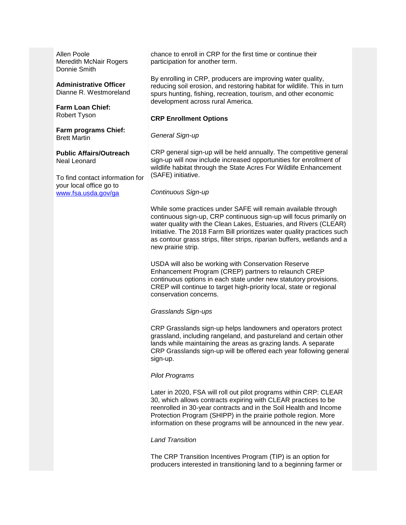Allen Poole Meredith McNair Rogers Donnie Smith

**Administrative Officer** Dianne R. Westmoreland

**Farm Loan Chief:** Robert Tyson

**Farm programs Chief:** Brett Martin

**Public Affairs/Outreach** Neal Leonard

To find contact information for your local office go to [www.fsa.usda.gov/ga](http://www.fsa.usda.gov/ga)

chance to enroll in CRP for the first time or continue their participation for another term.

By enrolling in CRP, producers are improving water quality, reducing soil erosion, and restoring habitat for wildlife. This in turn spurs hunting, fishing, recreation, tourism, and other economic development across rural America.

## **CRP Enrollment Options**

#### *General Sign-up*

CRP general sign-up will be held annually. The competitive general sign-up will now include increased opportunities for enrollment of wildlife habitat through the State Acres For Wildlife Enhancement (SAFE) initiative.

## *Continuous Sign-up*

While some practices under SAFE will remain available through continuous sign-up, CRP continuous sign-up will focus primarily on water quality with the Clean Lakes, Estuaries, and Rivers (CLEAR) Initiative. The 2018 Farm Bill prioritizes water quality practices such as contour grass strips, filter strips, riparian buffers, wetlands and a new prairie strip.

USDA will also be working with Conservation Reserve Enhancement Program (CREP) partners to relaunch CREP continuous options in each state under new statutory provisions. CREP will continue to target high-priority local, state or regional conservation concerns.

#### *Grasslands Sign-ups*

CRP Grasslands sign-up helps landowners and operators protect grassland, including rangeland, and pastureland and certain other lands while maintaining the areas as grazing lands. A separate CRP Grasslands sign-up will be offered each year following general sign-up.

#### *Pilot Programs*

Later in 2020, FSA will roll out pilot programs within CRP: CLEAR 30, which allows contracts expiring with CLEAR practices to be reenrolled in 30-year contracts and in the Soil Health and Income Protection Program (SHIPP) in the prairie pothole region. More information on these programs will be announced in the new year.

## *Land Transition*

The CRP Transition Incentives Program (TIP) is an option for producers interested in transitioning land to a beginning farmer or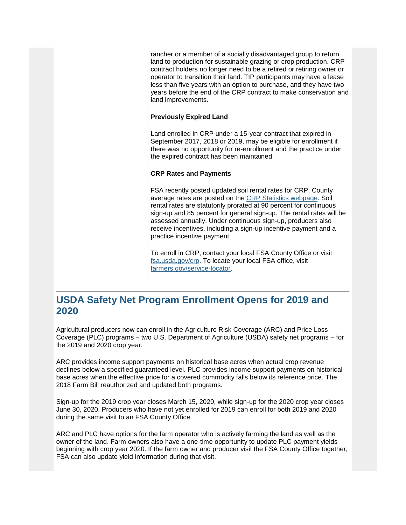rancher or a member of a socially disadvantaged group to return land to production for sustainable grazing or crop production. CRP contract holders no longer need to be a retired or retiring owner or operator to transition their land. TIP participants may have a lease less than five years with an option to purchase, and they have two years before the end of the CRP contract to make conservation and land improvements.

## **Previously Expired Land**

Land enrolled in CRP under a 15-year contract that expired in September 2017, 2018 or 2019, may be eligible for enrollment if there was no opportunity for re-enrollment and the practice under the expired contract has been maintained.

## **CRP Rates and Payments**

FSA recently posted updated soil rental rates for CRP. County average rates are posted on the [CRP Statistics webpage.](https://gcc02.safelinks.protection.outlook.com/?url=https%3A%2F%2Fwww.fsa.usda.gov%2Fprograms-and-services%2Fconservation-programs%2Freports-and-statistics%2Fconservation-reserve-program-statistics%2Findex%3Futm_medium%3Demail%26utm_source%3Dgovdelivery&data=02%7C01%7C%7C2edcdad5616a40d83c6808d782f63315%7Ced5b36e701ee4ebc867ee03cfa0d4697%7C0%7C1%7C637121866242647498&sdata=fKMcnwLVqJVZVyne%2FMXohZtFWjhxvYBFwPV0Nqg9dcM%3D&reserved=0) Soil rental rates are statutorily prorated at 90 percent for continuous sign-up and 85 percent for general sign-up. The rental rates will be assessed annually. Under continuous sign-up, producers also receive incentives, including a sign-up incentive payment and a practice incentive payment.

To enroll in CRP, contact your local FSA County Office or visit [fsa.usda.gov/crp.](https://gcc02.safelinks.protection.outlook.com/?url=http%3A%2F%2Fwww.fsa.usda.gov%2Fcrp%3Futm_medium%3Demail%26utm_source%3Dgovdelivery&data=02%7C01%7C%7C2edcdad5616a40d83c6808d782f63315%7Ced5b36e701ee4ebc867ee03cfa0d4697%7C0%7C1%7C637121866242647498&sdata=HV8h36KQOx2KRWcxaNtkZDamicCoKu%2Bm%2F1oX%2FrhoD%2FI%3D&reserved=0) To locate your local FSA office, visit [farmers.gov/service-locator.](https://gcc02.safelinks.protection.outlook.com/?url=http%3A%2F%2Ffarmers.gov%2Fservice-locator%3Futm_medium%3Demail%26utm_source%3Dgovdelivery&data=02%7C01%7C%7C2edcdad5616a40d83c6808d782f63315%7Ced5b36e701ee4ebc867ee03cfa0d4697%7C0%7C1%7C637121866242657490&sdata=Rq3dlCNM6HwlmShothtF%2BjA0f1JNzAt9xTDO7p%2FmpAU%3D&reserved=0)

## <span id="page-2-0"></span>**USDA Safety Net Program Enrollment Opens for 2019 and 2020**

Agricultural producers now can enroll in the Agriculture Risk Coverage (ARC) and Price Loss Coverage (PLC) programs – two U.S. Department of Agriculture (USDA) safety net programs – for the 2019 and 2020 crop year.

ARC provides income support payments on historical base acres when actual crop revenue declines below a specified guaranteed level. PLC provides income support payments on historical base acres when the effective price for a covered commodity falls below its reference price. The 2018 Farm Bill reauthorized and updated both programs.

Sign-up for the 2019 crop year closes March 15, 2020, while sign-up for the 2020 crop year closes June 30, 2020. Producers who have not yet enrolled for 2019 can enroll for both 2019 and 2020 during the same visit to an FSA County Office.

ARC and PLC have options for the farm operator who is actively farming the land as well as the owner of the land. Farm owners also have a one-time opportunity to update PLC payment yields beginning with crop year 2020. If the farm owner and producer visit the FSA County Office together, FSA can also update yield information during that visit.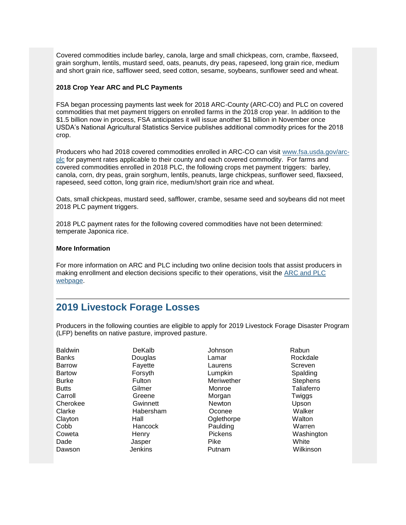Covered commodities include barley, canola, large and small chickpeas, corn, crambe, flaxseed, grain sorghum, lentils, mustard seed, oats, peanuts, dry peas, rapeseed, long grain rice, medium and short grain rice, safflower seed, seed cotton, sesame, soybeans, sunflower seed and wheat.

## **2018 Crop Year ARC and PLC Payments**

FSA began processing payments last week for 2018 ARC-County (ARC-CO) and PLC on covered commodities that met payment triggers on enrolled farms in the 2018 crop year. In addition to the \$1.5 billion now in process, FSA anticipates it will issue another \$1 billion in November once USDA's National Agricultural Statistics Service publishes additional commodity prices for the 2018 crop.

Producers who had 2018 covered commodities enrolled in ARC-CO can visit [www.fsa.usda.gov/arc](https://gcc02.safelinks.protection.outlook.com/?url=https%3A%2F%2Fwww.fsa.usda.gov%2Fprograms-and-services%2Farcplc_program%2Findex%3Futm_medium%3Demail%26utm_source%3Dgovdelivery&data=02%7C01%7C%7C2edcdad5616a40d83c6808d782f63315%7Ced5b36e701ee4ebc867ee03cfa0d4697%7C0%7C1%7C637121866242657490&sdata=Xrv27Q%2BUop6KbV%2BXMhBAHnk6NlqL8l%2F3vqOlh%2Bcfamk%3D&reserved=0)[plc](https://gcc02.safelinks.protection.outlook.com/?url=https%3A%2F%2Fwww.fsa.usda.gov%2Fprograms-and-services%2Farcplc_program%2Findex%3Futm_medium%3Demail%26utm_source%3Dgovdelivery&data=02%7C01%7C%7C2edcdad5616a40d83c6808d782f63315%7Ced5b36e701ee4ebc867ee03cfa0d4697%7C0%7C1%7C637121866242657490&sdata=Xrv27Q%2BUop6KbV%2BXMhBAHnk6NlqL8l%2F3vqOlh%2Bcfamk%3D&reserved=0) for payment rates applicable to their county and each covered commodity. For farms and covered commodities enrolled in 2018 PLC, the following crops met payment triggers: barley, canola, corn, dry peas, grain sorghum, lentils, peanuts, large chickpeas, sunflower seed, flaxseed, rapeseed, seed cotton, long grain rice, medium/short grain rice and wheat.

Oats, small chickpeas, mustard seed, safflower, crambe, sesame seed and soybeans did not meet 2018 PLC payment triggers.

2018 PLC payment rates for the following covered commodities have not been determined: temperate Japonica rice.

## **More Information**

For more information on ARC and PLC including two online decision tools that assist producers in making enrollment and election decisions specific to their operations, visit the [ARC and PLC](https://gcc02.safelinks.protection.outlook.com/?url=https%3A%2F%2Fwww.fsa.usda.gov%2Fprograms-and-services%2Farcplc_program%2Findex%3Futm_medium%3Demail%26utm_source%3Dgovdelivery&data=02%7C01%7C%7C2edcdad5616a40d83c6808d782f63315%7Ced5b36e701ee4ebc867ee03cfa0d4697%7C0%7C1%7C637121866242667485&sdata=vMpU40Hvy8k0%2BFcr%2Bs3z3oVHP9a0oE8TAqsJzBDvsDA%3D&reserved=0)  [webpage.](https://gcc02.safelinks.protection.outlook.com/?url=https%3A%2F%2Fwww.fsa.usda.gov%2Fprograms-and-services%2Farcplc_program%2Findex%3Futm_medium%3Demail%26utm_source%3Dgovdelivery&data=02%7C01%7C%7C2edcdad5616a40d83c6808d782f63315%7Ced5b36e701ee4ebc867ee03cfa0d4697%7C0%7C1%7C637121866242667485&sdata=vMpU40Hvy8k0%2BFcr%2Bs3z3oVHP9a0oE8TAqsJzBDvsDA%3D&reserved=0)

## <span id="page-3-0"></span>**2019 Livestock Forage Losses**

Producers in the following counties are eligible to apply for 2019 Livestock Forage Disaster Program (LFP) benefits on native pasture, improved pasture.

| <b>Baldwin</b> | DeKalb         | Johnson        | Rabun           |
|----------------|----------------|----------------|-----------------|
| <b>Banks</b>   | Douglas        | Lamar          | Rockdale        |
| <b>Barrow</b>  | Fayette        | Laurens        | Screven         |
| <b>Bartow</b>  | Forsyth        | Lumpkin        | Spalding        |
| <b>Burke</b>   | Fulton         | Meriwether     | <b>Stephens</b> |
| <b>Butts</b>   | Gilmer         | Monroe         | Taliaferro      |
| Carroll        | Greene         | Morgan         | Twiggs          |
| Cherokee       | Gwinnett       | <b>Newton</b>  | Upson           |
| Clarke         | Habersham      | Oconee         | Walker          |
| Clayton        | Hall           | Oglethorpe     | Walton          |
| Cobb           | Hancock        | Paulding       | Warren          |
| Coweta         | Henry          | <b>Pickens</b> | Washington      |
| Dade           | Jasper         | <b>Pike</b>    | White           |
| Dawson         | <b>Jenkins</b> | Putnam         | Wilkinson       |
|                |                |                |                 |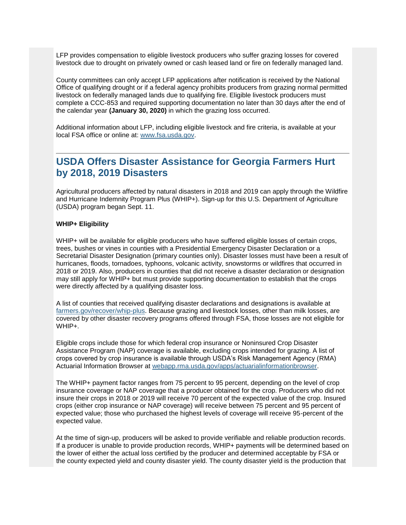LFP provides compensation to eligible livestock producers who suffer grazing losses for covered livestock due to drought on privately owned or cash leased land or fire on federally managed land.

County committees can only accept LFP applications after notification is received by the National Office of qualifying drought or if a federal agency prohibits producers from grazing normal permitted livestock on federally managed lands due to qualifying fire. Eligible livestock producers must complete a CCC-853 and required supporting documentation no later than 30 days after the end of the calendar year **(January 30, 2020)** in which the grazing loss occurred.

Additional information about LFP, including eligible livestock and fire criteria, is available at your local FSA office or online at: [www.fsa.usda.gov.](https://gcc02.safelinks.protection.outlook.com/?url=http%3A%2F%2Fwww.fsa.usda.gov%2F%3Futm_medium%3Demail%26utm_source%3Dgovdelivery&data=02%7C01%7C%7C2edcdad5616a40d83c6808d782f63315%7Ced5b36e701ee4ebc867ee03cfa0d4697%7C0%7C1%7C637121866242667485&sdata=MW41JLPE2EIJuNWgGDPD9GTmIWSNR38GvlkX1lzypXI%3D&reserved=0)

## <span id="page-4-0"></span>**USDA Offers Disaster Assistance for Georgia Farmers Hurt by 2018, 2019 Disasters**

Agricultural producers affected by natural disasters in 2018 and 2019 can apply through the Wildfire and Hurricane Indemnity Program Plus (WHIP+). Sign-up for this U.S. Department of Agriculture (USDA) program began Sept. 11.

## **WHIP+ Eligibility**

WHIP+ will be available for eligible producers who have suffered eligible losses of certain crops, trees, bushes or vines in counties with a Presidential Emergency Disaster Declaration or a Secretarial Disaster Designation (primary counties only). Disaster losses must have been a result of hurricanes, floods, tornadoes, typhoons, volcanic activity, snowstorms or wildfires that occurred in 2018 or 2019. Also, producers in counties that did not receive a disaster declaration or designation may still apply for WHIP+ but must provide supporting documentation to establish that the crops were directly affected by a qualifying disaster loss.

A list of counties that received qualifying disaster declarations and designations is available at [farmers.gov/recover/whip-plus.](https://gcc02.safelinks.protection.outlook.com/?data=02%7C01%7C%7Cedf4c56314cc40b16e0108d737abe7a4%7Ced5b36e701ee4ebc867ee03cfa0d4697%7C0%7C0%7C637039083896297481&reserved=0&sdata=uDTK4J%2BLpZVgfXb%2Fep%2FqiCcIQRx5r4ys90a6b8beNPk%3D&url=https%3A%2F%2Fwww.farmers.gov%2Frecover%2Fwhip-plus%3Futm_medium%3Demail%26utm_source%3Dgovdelivery&utm_medium=email&utm_source=govdelivery) Because grazing and livestock losses, other than milk losses, are covered by other disaster recovery programs offered through FSA, those losses are not eligible for WHIP+.

Eligible crops include those for which federal crop insurance or Noninsured Crop Disaster Assistance Program (NAP) coverage is available, excluding crops intended for grazing. A list of crops covered by crop insurance is available through USDA's Risk Management Agency (RMA) Actuarial Information Browser at [webapp.rma.usda.gov/apps/actuarialinformationbrowser.](https://gcc02.safelinks.protection.outlook.com/?data=02%7C01%7C%7Cedf4c56314cc40b16e0108d737abe7a4%7Ced5b36e701ee4ebc867ee03cfa0d4697%7C0%7C0%7C637039083896307501&reserved=0&sdata=jXyP0j%2BFU612yLm9EsQdweASrsQXZoMOAXiz8T6kiis%3D&url=https%3A%2F%2Fwebapp.rma.usda.gov%2Fapps%2Factuarialinformationbrowser%2F%3Futm_medium%3Demail%26utm_source%3Dgovdelivery&utm_medium=email&utm_source=govdelivery)

The WHIP+ payment factor ranges from 75 percent to 95 percent, depending on the level of crop insurance coverage or NAP coverage that a producer obtained for the crop. Producers who did not insure their crops in 2018 or 2019 will receive 70 percent of the expected value of the crop. Insured crops (either crop insurance or NAP coverage) will receive between 75 percent and 95 percent of expected value; those who purchased the highest levels of coverage will receive 95-percent of the expected value.

At the time of sign-up, producers will be asked to provide verifiable and reliable production records. If a producer is unable to provide production records, WHIP+ payments will be determined based on the lower of either the actual loss certified by the producer and determined acceptable by FSA or the county expected yield and county disaster yield. The county disaster yield is the production that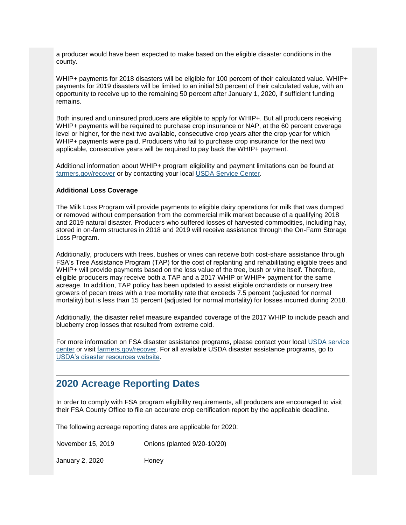a producer would have been expected to make based on the eligible disaster conditions in the county.

WHIP+ payments for 2018 disasters will be eligible for 100 percent of their calculated value. WHIP+ payments for 2019 disasters will be limited to an initial 50 percent of their calculated value, with an opportunity to receive up to the remaining 50 percent after January 1, 2020, if sufficient funding remains.

Both insured and uninsured producers are eligible to apply for WHIP+. But all producers receiving WHIP+ payments will be required to purchase crop insurance or NAP, at the 60 percent coverage level or higher, for the next two available, consecutive crop years after the crop year for which WHIP+ payments were paid. Producers who fail to purchase crop insurance for the next two applicable, consecutive years will be required to pay back the WHIP+ payment.

Additional information about WHIP+ program eligibility and payment limitations can be found at [farmers.gov/recover](https://gcc02.safelinks.protection.outlook.com/?data=02%7C01%7C%7Cedf4c56314cc40b16e0108d737abe7a4%7Ced5b36e701ee4ebc867ee03cfa0d4697%7C0%7C0%7C637039083896307501&reserved=0&sdata=n2GSB%2FS7t4%2Fs15kYxgRd4k5EiKEYYUBcLF8KrtGjtKk%3D&url=https%3A%2F%2Fwww.farmers.gov%2Frecover%2Fwhip-plus%3Futm_medium%3Demail%26utm_source%3Dgovdelivery&utm_medium=email&utm_source=govdelivery) or by contacting your local [USDA Service Center.](https://gcc02.safelinks.protection.outlook.com/?data=02%7C01%7C%7Cedf4c56314cc40b16e0108d737abe7a4%7Ced5b36e701ee4ebc867ee03cfa0d4697%7C0%7C0%7C637039083896307501&reserved=0&sdata=jMBh%2FvACpdOtK0HfhEdcqY3W7ptI51uO3gcUKXGlPsI%3D&url=https%3A%2F%2Fwww.farmers.gov%2Fservice-center-locator%3Futm_medium%3Demail%26utm_source%3Dgovdelivery&utm_medium=email&utm_source=govdelivery)

## **Additional Loss Coverage**

The Milk Loss Program will provide payments to eligible dairy operations for milk that was dumped or removed without compensation from the commercial milk market because of a qualifying 2018 and 2019 natural disaster. Producers who suffered losses of harvested commodities, including hay, stored in on-farm structures in 2018 and 2019 will receive assistance through the On-Farm Storage Loss Program.

Additionally, producers with trees, bushes or vines can receive both cost-share assistance through FSA's Tree Assistance Program (TAP) for the cost of replanting and rehabilitating eligible trees and WHIP+ will provide payments based on the loss value of the tree, bush or vine itself. Therefore, eligible producers may receive both a TAP and a 2017 WHIP or WHIP+ payment for the same acreage. In addition, TAP policy has been updated to assist eligible orchardists or nursery tree growers of pecan trees with a tree mortality rate that exceeds 7.5 percent (adjusted for normal mortality) but is less than 15 percent (adjusted for normal mortality) for losses incurred during 2018.

Additionally, the disaster relief measure expanded coverage of the 2017 WHIP to include peach and blueberry crop losses that resulted from extreme cold.

For more information on FSA disaster assistance programs, please contact your local [USDA service](https://gcc02.safelinks.protection.outlook.com/?data=02%7C01%7C%7Cedf4c56314cc40b16e0108d737abe7a4%7Ced5b36e701ee4ebc867ee03cfa0d4697%7C0%7C0%7C637039083896317504&reserved=0&sdata=Fh4eDAVbHCKHm3l065EpBucEjkyCJu1OlOJtddcQ0jQ%3D&url=https%3A%2F%2Fwww.farmers.gov%2Fservice-center-locator%3Futm_medium%3Demail%26utm_source%3Dgovdelivery&utm_medium=email&utm_source=govdelivery)  [center](https://gcc02.safelinks.protection.outlook.com/?data=02%7C01%7C%7Cedf4c56314cc40b16e0108d737abe7a4%7Ced5b36e701ee4ebc867ee03cfa0d4697%7C0%7C0%7C637039083896317504&reserved=0&sdata=Fh4eDAVbHCKHm3l065EpBucEjkyCJu1OlOJtddcQ0jQ%3D&url=https%3A%2F%2Fwww.farmers.gov%2Fservice-center-locator%3Futm_medium%3Demail%26utm_source%3Dgovdelivery&utm_medium=email&utm_source=govdelivery) or visit [farmers.gov/recover.](https://gcc02.safelinks.protection.outlook.com/?data=02%7C01%7C%7Cedf4c56314cc40b16e0108d737abe7a4%7Ced5b36e701ee4ebc867ee03cfa0d4697%7C0%7C0%7C637039083896317504&reserved=0&sdata=LYtlJENxSxTE7u1Em8XXrzXj5Wg%2FMEnudUo6wj1vLpM%3D&url=https%3A%2F%2Fwww.farmers.gov%2Frecover%3Futm_medium%3Demail%26utm_source%3Dgovdelivery&utm_medium=email&utm_source=govdelivery) For all available USDA disaster assistance programs, go to [USDA's disaster resources website.](https://gcc02.safelinks.protection.outlook.com/?data=02%7C01%7C%7Cedf4c56314cc40b16e0108d737abe7a4%7Ced5b36e701ee4ebc867ee03cfa0d4697%7C0%7C0%7C637039083896327516&reserved=0&sdata=6f3N0uA1lZG4EAU197U3xN5NRXLvEUpLMnU69KNkBrY%3D&url=https%3A%2F%2Fwww.usda.gov%2Ftopics%2Fdisaster%2Fstorms%3Futm_medium%3Demail%26utm_source%3Dgovdelivery&utm_medium=email&utm_source=govdelivery)

## <span id="page-5-0"></span>**2020 Acreage Reporting Dates**

In order to comply with FSA program eligibility requirements, all producers are encouraged to visit their FSA County Office to file an accurate crop certification report by the applicable deadline.

The following acreage reporting dates are applicable for 2020:

November 15, 2019 Onions (planted 9/20-10/20)

January 2, 2020 Honey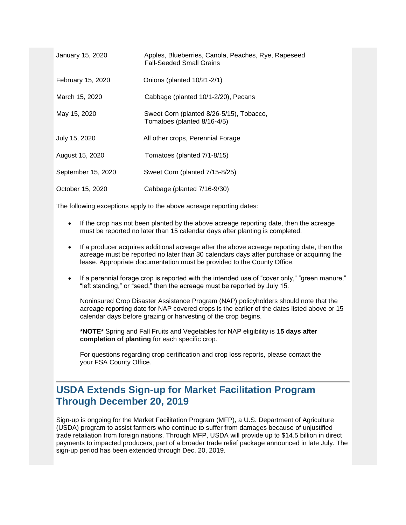| January 15, 2020   | Apples, Blueberries, Canola, Peaches, Rye, Rapeseed<br><b>Fall-Seeded Small Grains</b> |
|--------------------|----------------------------------------------------------------------------------------|
| February 15, 2020  | Onions (planted 10/21-2/1)                                                             |
| March 15, 2020     | Cabbage (planted 10/1-2/20), Pecans                                                    |
| May 15, 2020       | Sweet Corn (planted 8/26-5/15), Tobacco,<br>Tomatoes (planted 8/16-4/5)                |
| July 15, 2020      | All other crops, Perennial Forage                                                      |
| August 15, 2020    | Tomatoes (planted 7/1-8/15)                                                            |
| September 15, 2020 | Sweet Corn (planted 7/15-8/25)                                                         |
| October 15, 2020   | Cabbage (planted 7/16-9/30)                                                            |

The following exceptions apply to the above acreage reporting dates:

- If the crop has not been planted by the above acreage reporting date, then the acreage must be reported no later than 15 calendar days after planting is completed.
- If a producer acquires additional acreage after the above acreage reporting date, then the acreage must be reported no later than 30 calendars days after purchase or acquiring the lease. Appropriate documentation must be provided to the County Office.
- If a perennial forage crop is reported with the intended use of "cover only," "green manure," "left standing," or "seed," then the acreage must be reported by July 15.

Noninsured Crop Disaster Assistance Program (NAP) policyholders should note that the acreage reporting date for NAP covered crops is the earlier of the dates listed above or 15 calendar days before grazing or harvesting of the crop begins.

**\*NOTE\*** Spring and Fall Fruits and Vegetables for NAP eligibility is **15 days after completion of planting** for each specific crop.

For questions regarding crop certification and crop loss reports, please contact the your FSA County Office.

## <span id="page-6-0"></span>**USDA Extends Sign-up for Market Facilitation Program Through December 20, 2019**

Sign-up is ongoing for the Market Facilitation Program (MFP), a U.S. Department of Agriculture (USDA) program to assist farmers who continue to suffer from damages because of unjustified trade retaliation from foreign nations. Through MFP, USDA will provide up to \$14.5 billion in direct payments to impacted producers, part of a broader trade relief package announced in late July. The sign-up period has been extended through Dec. 20, 2019.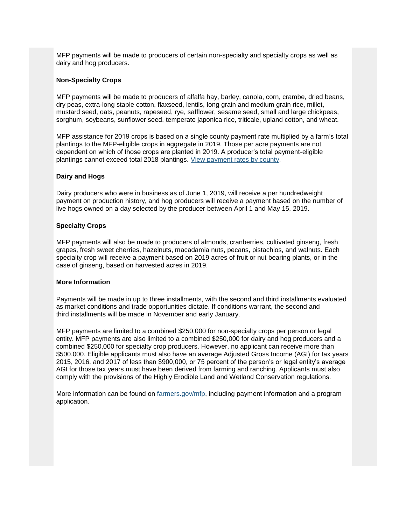MFP payments will be made to producers of certain non-specialty and specialty crops as well as dairy and hog producers.

## **Non-Specialty Crops**

MFP payments will be made to producers of alfalfa hay, barley, canola, corn, crambe, dried beans, dry peas, extra-long staple cotton, flaxseed, lentils, long grain and medium grain rice, millet, mustard seed, oats, peanuts, rapeseed, rye, safflower, sesame seed, small and large chickpeas, sorghum, soybeans, sunflower seed, temperate japonica rice, triticale, upland cotton, and wheat.

MFP assistance for 2019 crops is based on a single county payment rate multiplied by a farm's total plantings to the MFP-eligible crops in aggregate in 2019. Those per acre payments are not dependent on which of those crops are planted in 2019. A producer's total payment-eligible plantings cannot exceed total 2018 plantings. [View payment rates by county.](https://gcc02.safelinks.protection.outlook.com/?url=https%3A%2F%2Fwww.fsa.usda.gov%2Fprograms-and-services%2Fmarket-facilitation-program%2Findex%3Futm_medium%3Demail%26utm_source%3Dgovdelivery&data=02%7C01%7C%7C2edcdad5616a40d83c6808d782f63315%7Ced5b36e701ee4ebc867ee03cfa0d4697%7C0%7C0%7C637121866242707465&sdata=9sBPT%2BAZHwsRjz5G3OTid13k1yCKMrEMlqrbLPchtvY%3D&reserved=0)

## **Dairy and Hogs**

Dairy producers who were in business as of June 1, 2019, will receive a per hundredweight payment on production history, and hog producers will receive a payment based on the number of live hogs owned on a day selected by the producer between April 1 and May 15, 2019.

## **Specialty Crops**

MFP payments will also be made to producers of almonds, cranberries, cultivated ginseng, fresh grapes, fresh sweet cherries, hazelnuts, macadamia nuts, pecans, pistachios, and walnuts. Each specialty crop will receive a payment based on 2019 acres of fruit or nut bearing plants, or in the case of ginseng, based on harvested acres in 2019.

#### **More Information**

Payments will be made in up to three installments, with the second and third installments evaluated as market conditions and trade opportunities dictate. If conditions warrant, the second and third installments will be made in November and early January.

MFP payments are limited to a combined \$250,000 for non-specialty crops per person or legal entity. MFP payments are also limited to a combined \$250,000 for dairy and hog producers and a combined \$250,000 for specialty crop producers. However, no applicant can receive more than \$500,000. Eligible applicants must also have an average Adjusted Gross Income (AGI) for tax years 2015, 2016, and 2017 of less than \$900,000, or 75 percent of the person's or legal entity's average AGI for those tax years must have been derived from farming and ranching. Applicants must also comply with the provisions of the Highly Erodible Land and Wetland Conservation regulations.

More information can be found on [farmers.gov/mfp,](https://www.farmers.gov/manage/mfp?utm_medium=email&utm_source=govdelivery) including payment information and a program application.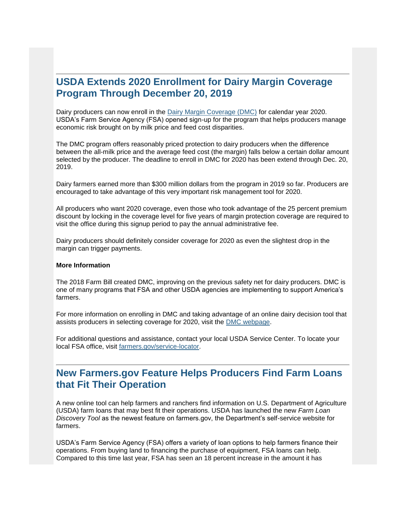## <span id="page-8-0"></span>**USDA Extends 2020 Enrollment for Dairy Margin Coverage Program Through December 20, 2019**

Dairy producers can now enroll in the [Dairy Margin Coverage \(DMC\)](https://gcc02.safelinks.protection.outlook.com/?data=02%7C01%7C%7Cd0f82d29fdc84934b8b508d74b5ea99a%7Ced5b36e701ee4ebc867ee03cfa0d4697%7C0%7C0%7C637060742328474620&reserved=0&sdata=cx74iTzPYELV0BQmPd67KFiCGA2HUawaYPHbCmojeZo%3D&url=https%3A%2F%2Fwww.fsa.usda.gov%2FAssets%2FUSDA-FSA-Public%2Fusdafiles%2FFactSheets%2F2019%2Fdairy_margin_coverage_program-june_2019_fact_sheet.pdf%3Futm_medium%3Demail%26utm_source%3Dgovdelivery&utm_medium=email&utm_source=govdelivery) for calendar year 2020. USDA's Farm Service Agency (FSA) opened sign-up for the program that helps producers manage economic risk brought on by milk price and feed cost disparities.

The DMC program offers reasonably priced protection to dairy producers when the difference between the all-milk price and the average feed cost (the margin) falls below a certain dollar amount selected by the producer. The deadline to enroll in DMC for 2020 has been extend through Dec. 20, 2019.

Dairy farmers earned more than \$300 million dollars from the program in 2019 so far. Producers are encouraged to take advantage of this very important risk management tool for 2020.

All producers who want 2020 coverage, even those who took advantage of the 25 percent premium discount by locking in the coverage level for five years of margin protection coverage are required to visit the office during this signup period to pay the annual administrative fee.

Dairy producers should definitely consider coverage for 2020 as even the slightest drop in the margin can trigger payments.

### **More Information**

The 2018 Farm Bill created DMC, improving on the previous safety net for dairy producers. DMC is one of many programs that FSA and other USDA agencies are implementing to support America's farmers.

For more information on enrolling in DMC and taking advantage of an online dairy decision tool that assists producers in selecting coverage for 2020, visit the [DMC webpage.](https://gcc02.safelinks.protection.outlook.com/?data=02%7C01%7C%7Cd0f82d29fdc84934b8b508d74b5ea99a%7Ced5b36e701ee4ebc867ee03cfa0d4697%7C0%7C0%7C637060742328474620&reserved=0&sdata=CzSGFNCco2mGC%2BEow9YEh7QMzlf7CQm6480thNS64lo%3D&url=https%3A%2F%2Fwww.fsa.usda.gov%2Fprograms-and-services%2Fdairy-margin-coverage-program%2Findex%3Futm_medium%3Demail%26utm_source%3Dgovdelivery&utm_medium=email&utm_source=govdelivery)

For additional questions and assistance, contact your local USDA Service Center. To locate your local FSA office, visit [farmers.gov/service-locator.](https://gcc02.safelinks.protection.outlook.com/?data=02%7C01%7C%7Cd0f82d29fdc84934b8b508d74b5ea99a%7Ced5b36e701ee4ebc867ee03cfa0d4697%7C0%7C0%7C637060742328484615&reserved=0&sdata=nP5j6fxPFBvtSDmtRmdQ%2Fdvj9w3%2FW5yDxFU4UkCVswk%3D&url=https%3A%2F%2Fwww.farmers.gov%2Fservice-center-locator%3Futm_medium%3Demail%26utm_source%3Dgovdelivery&utm_medium=email&utm_source=govdelivery)

## <span id="page-8-1"></span>**New Farmers.gov Feature Helps Producers Find Farm Loans that Fit Their Operation**

A new online tool can help farmers and ranchers find information on U.S. Department of Agriculture (USDA) farm loans that may best fit their operations. USDA has launched the new *Farm Loan Discovery Tool* as the newest feature on farmers.gov, the Department's self-service website for farmers.

USDA's Farm Service Agency (FSA) offers a variety of loan options to help farmers finance their operations. From buying land to financing the purchase of equipment, FSA loans can help. Compared to this time last year, FSA has seen an 18 percent increase in the amount it has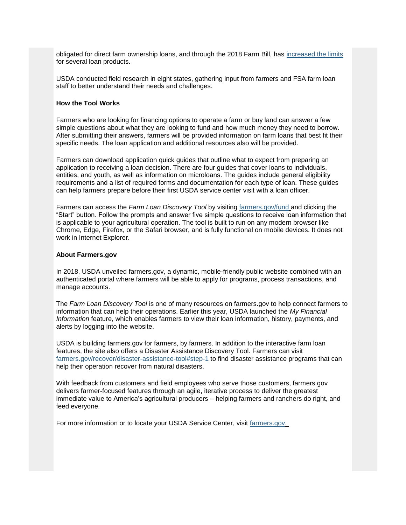obligated for direct farm ownership loans, and through the 2018 Farm Bill, has [increased the limits](https://gcc02.safelinks.protection.outlook.com/?url=https%3A%2F%2Fwww.fsa.usda.gov%2Fnews-room%2Fnews-releases%2F2019%2Fhigher-limits-now-available-on-usda-farm-loans%3Futm_medium%3Demail%26utm_source%3Dgovdelivery&data=02%7C01%7C%7C2edcdad5616a40d83c6808d782f63315%7Ced5b36e701ee4ebc867ee03cfa0d4697%7C0%7C0%7C637121866242727452&sdata=1liGrJKqLRpu0KQXtXqge45V9Th4jV7uXBBXs5elKzM%3D&reserved=0) for several loan products.

USDA conducted field research in eight states, gathering input from farmers and FSA farm loan staff to better understand their needs and challenges.

#### **How the Tool Works**

Farmers who are looking for financing options to operate a farm or buy land can answer a few simple questions about what they are looking to fund and how much money they need to borrow. After submitting their answers, farmers will be provided information on farm loans that best fit their specific needs. The loan application and additional resources also will be provided.

Farmers can download application quick guides that outline what to expect from preparing an application to receiving a loan decision. There are four guides that cover loans to individuals, entities, and youth, as well as information on microloans. The guides include general eligibility requirements and a list of required forms and documentation for each type of loan. These guides can help farmers prepare before their first USDA service center visit with a loan officer.

Farmers can access the *Farm Loan Discovery Tool* by visiting [farmers.gov/fund](https://www.farmers.gov/fund?utm_medium=email&utm_source=govdelivery) and clicking the "Start" button. Follow the prompts and answer five simple questions to receive loan information that is applicable to your agricultural operation. The tool is built to run on any modern browser like Chrome, Edge, Firefox, or the Safari browser, and is fully functional on mobile devices. It does not work in Internet Explorer.

#### **About Farmers.gov**

In 2018, USDA unveiled farmers.gov, a dynamic, mobile-friendly public website combined with an authenticated portal where farmers will be able to apply for programs, process transactions, and manage accounts.

The *Farm Loan Discovery Tool* is one of many resources on farmers.gov to help connect farmers to information that can help their operations. Earlier this year, USDA launched the *My Financial Information* feature, which enables farmers to view their loan information, history, payments, and alerts by logging into the website.

USDA is building farmers.gov for farmers, by farmers. In addition to the interactive farm loan features, the site also offers a Disaster Assistance Discovery Tool. Farmers can visit [farmers.gov/recover/disaster-assistance-tool#step-1](https://www.farmers.gov/recover/disaster-assistance-tool?utm_medium=email&utm_source=govdelivery#step-1) to find disaster assistance programs that can help their operation recover from natural disasters.

With feedback from customers and field employees who serve those customers, farmers.gov delivers farmer-focused features through an agile, iterative process to deliver the greatest immediate value to America's agricultural producers – helping farmers and ranchers do right, and feed everyone.

For more information or to locate your USDA Service Center, visit [farmers.gov.](https://www.farmers.gov/?utm_medium=email&utm_source=govdelivery)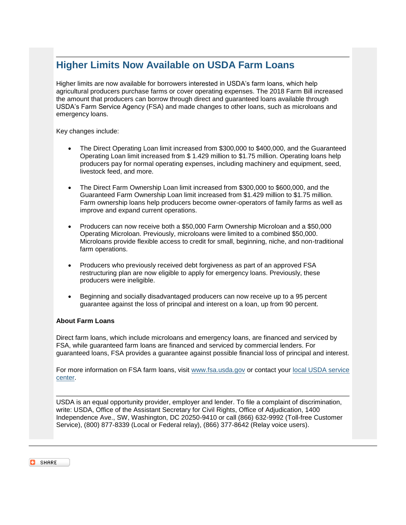## <span id="page-10-0"></span>**Higher Limits Now Available on USDA Farm Loans**

Higher limits are now available for borrowers interested in USDA's farm loans, which help agricultural producers purchase farms or cover operating expenses. The 2018 Farm Bill increased the amount that producers can borrow through direct and guaranteed loans available through USDA's Farm Service Agency (FSA) and made changes to other loans, such as microloans and emergency loans.

Key changes include:

- The Direct Operating Loan limit increased from \$300,000 to \$400,000, and the Guaranteed Operating Loan limit increased from \$ 1.429 million to \$1.75 million. Operating loans help producers pay for normal operating expenses, including machinery and equipment, seed, livestock feed, and more.
- The Direct Farm Ownership Loan limit increased from \$300,000 to \$600,000, and the Guaranteed Farm Ownership Loan limit increased from \$1.429 million to \$1.75 million. Farm ownership loans help producers become owner-operators of family farms as well as improve and expand current operations.
- Producers can now receive both a \$50,000 Farm Ownership Microloan and a \$50,000 Operating Microloan. Previously, microloans were limited to a combined \$50,000. Microloans provide flexible access to credit for small, beginning, niche, and non-traditional farm operations.
- Producers who previously received debt forgiveness as part of an approved FSA restructuring plan are now eligible to apply for emergency loans. Previously, these producers were ineligible.
- Beginning and socially disadvantaged producers can now receive up to a 95 percent guarantee against the loss of principal and interest on a loan, up from 90 percent.

## **About Farm Loans**

Direct farm loans, which include microloans and emergency loans, are financed and serviced by FSA, while guaranteed farm loans are financed and serviced by commercial lenders. For guaranteed loans, FSA provides a guarantee against possible financial loss of principal and interest.

For more information on FSA farm loans, visit [www.fsa.usda.gov](https://gcc02.safelinks.protection.outlook.com/?url=http%3A%2F%2Fwww.fsa.usda.gov%2F%3Futm_medium%3Demail%26utm_source%3Dgovdelivery&data=02%7C01%7C%7C2edcdad5616a40d83c6808d782f63315%7Ced5b36e701ee4ebc867ee03cfa0d4697%7C0%7C1%7C637121866242737443&sdata=6ydCgheGMo6n7RZ31JDuNJXW1BTXTa83liL1blOhzk4%3D&reserved=0) or contact your [local USDA service](https://www.farmers.gov/service-locator?utm_medium=email&utm_source=govdelivery)  [center.](https://www.farmers.gov/service-locator?utm_medium=email&utm_source=govdelivery)

USDA is an equal opportunity provider, employer and lender. To file a complaint of discrimination, write: USDA, Office of the Assistant Secretary for Civil Rights, Office of Adjudication, 1400 Independence Ave., SW, Washington, DC 20250-9410 or call (866) 632-9992 (Toll-free Customer Service), (800) 877-8339 (Local or Federal relay), (866) 377-8642 (Relay voice users).

**SHARE**